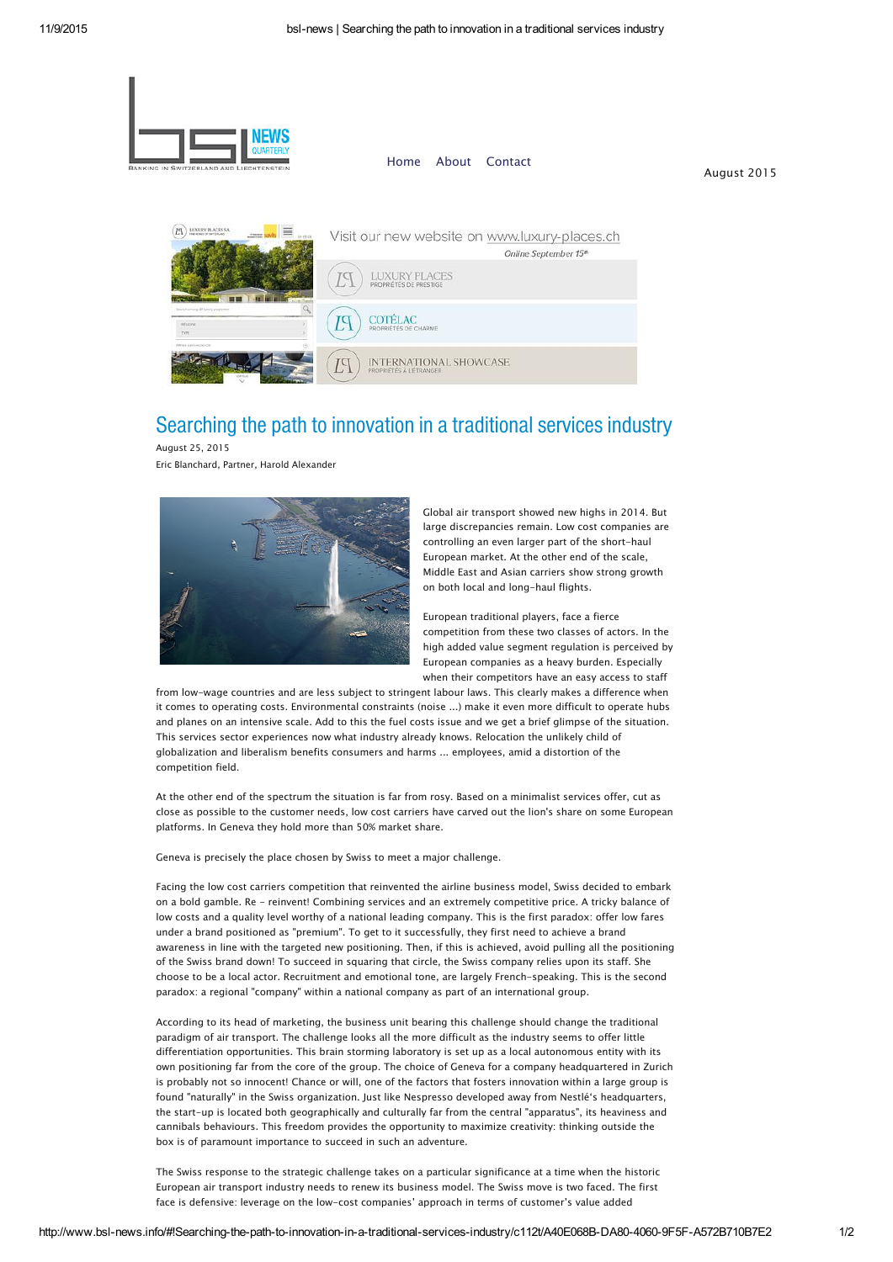

## Searching the path to innovation in a traditional services industry

August 25, 2015 Eric Blanchard, Partner, Harold Alexander



Global air transport showed new highs in 2014. But large discrepancies remain. Low cost companies are controlling an even larger part of the short-haul European market. At the other end of the scale, Middle East and Asian carriers show strong growth on both local and long-haul flights.

European traditional players, face a fierce competition from these two classes of actors. In the high added value segment regulation is perceived by European companies as a heavy burden. Especially when their competitors have an easy access to staff

from low-wage countries and are less subject to stringent labour laws. This clearly makes a difference when it comes to operating costs. Environmental constraints (noise ...) make it even more difficult to operate hubs and planes on an intensive scale. Add to this the fuel costs issue and we get a brief glimpse of the situation. This services sector experiences now what industry already knows. Relocation the unlikely child of globalization and liberalism benefits consumers and harms ... employees, amid a distortion of the competition field.

At the other end of the spectrum the situation is far from rosy. Based on a minimalist services offer, cut as close as possible to the customer needs, low cost carriers have carved out the lion's share on some European platforms. In Geneva they hold more than 50% market share.

Geneva is precisely the place chosen by Swiss to meet a major challenge.

Facing the low cost carriers competition that reinvented the airline business model, Swiss decided to embark on a bold gamble. Re - reinvent! Combining services and an extremely competitive price. A tricky balance of low costs and a quality level worthy of a national leading company. This is the first paradox: offer low fares under a brand positioned as "premium". To get to it successfully, they first need to achieve a brand awareness in line with the targeted new positioning. Then, if this is achieved, avoid pulling all the positioning of the Swiss brand down! To succeed in squaring that circle, the Swiss company relies upon its staff. She choose to be a local actor. Recruitment and emotional tone, are largely French-speaking. This is the second paradox: a regional "company" within a national company as part of an international group.

According to its head of marketing, the business unit bearing this challenge should change the traditional paradigm of air transport. The challenge looks all the more difficult as the industry seems to offer little differentiation opportunities. This brain storming laboratory is set up as a local autonomous entity with its own positioning far from the core of the group. The choice of Geneva for a company headquartered in Zurich is probably not so innocent! Chance or will, one of the factors that fosters innovation within a large group is found "naturally" in the Swiss organization. Just like Nespresso developed away from Nestlé's headquarters, the start-up is located both geographically and culturally far from the central "apparatus", its heaviness and cannibals behaviours. This freedom provides the opportunity to maximize creativity: thinking outside the box is of paramount importance to succeed in such an adventure.

The Swiss response to the strategic challenge takes on a particular significance at a time when the historic European air transport industry needs to renew its business model. The Swiss move is two faced. The first face is defensive: leverage on the low-cost companies' approach in terms of customer's value added